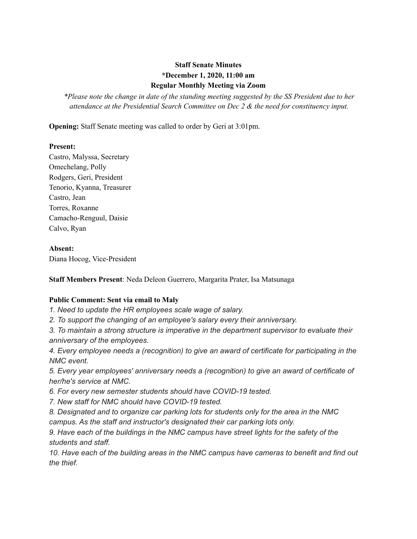# **Staff Senate Minutes \*December 1, 2020, 11:00 am Regular Monthly Meeting via Zoom**

*\*Please note the change in date of the standing meeting suggested by the SS President due to her attendance at the Presidential Search Committee on Dec 2 & the need for constituency input.*

**Opening:** Staff Senate meeting was called to order by Geri at 3:01pm.

#### **Present:**

Castro, Malyssa, Secretary Omechelang, Polly Rodgers, Geri, President Tenorio, Kyanna, Treasurer Castro, Jean Torres, Roxanne Camacho-Renguul, Daisie Calvo, Ryan

# **Absent:**

Diana Hocog, Vice-President

# **Staff Members Present**: Neda Deleon Guerrero, Margarita Prater, Isa Matsunaga

# **Public Comment: Sent via email to Maly**

*1. Need to update the HR employees scale wage of salary.*

*2. To support the changing of an employee's salary every their anniversary.*

*3. To maintain a strong structure is imperative in the department supervisor to evaluate their anniversary of the employees.*

*4. Every employee needs a (recognition) to give an award of certificate for participating in the NMC event.*

*5. Every year employees' anniversary needs a (recognition) to give an award of certificate of her/he's service at NMC.*

*6. For every new semester students should have COVID-19 tested.*

*7. New staff for NMC should have COVID-19 tested.*

*8. Designated and to organize car parking lots for students only for the area in the NMC campus. As the staff and instructor's designated their car parking lots only.*

*9. Have each of the buildings in the NMC campus have street lights for the safety of the students and staff.*

*10. Have each of the building areas in the NMC campus have cameras to benefit and find out the thief.*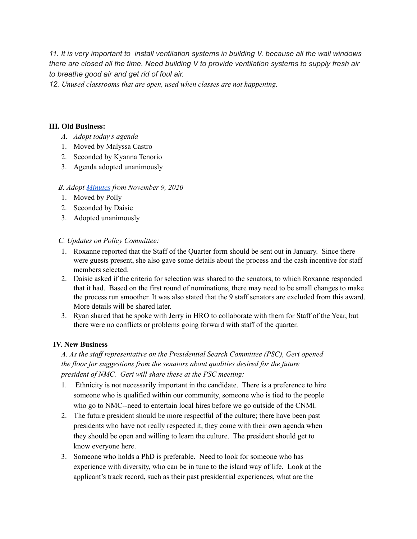*11. It is very important to install ventilation systems in building V. because all the wall windows there are closed all the time. Need building V to provide ventilation systems to supply fresh air to breathe good air and get rid of foul air.*

*12. Unused classrooms that are open, used when classes are not happening.*

### **III. Old Business:**

- *A. Adopt today's agenda*
- 1. Moved by Malyssa Castro
- 2. Seconded by Kyanna Tenorio
- 3. Agenda adopted unanimously

#### *B. Adopt [Minutes](https://docs.google.com/document/d/1LRrHeI-U1zMRS7mwgUL0HkytVk15JZtIsST57cuW3mU/edit?usp=sharing) from November 9, 2020*

- 1. Moved by Polly
- 2. Seconded by Daisie
- 3. Adopted unanimously

#### *C. Updates on Policy Committee:*

- 1. Roxanne reported that the Staff of the Quarter form should be sent out in January. Since there were guests present, she also gave some details about the process and the cash incentive for staff members selected.
- 2. Daisie asked if the criteria for selection was shared to the senators, to which Roxanne responded that it had. Based on the first round of nominations, there may need to be small changes to make the process run smoother. It was also stated that the 9 staff senators are excluded from this award. More details will be shared later.
- 3. Ryan shared that he spoke with Jerry in HRO to collaborate with them for Staff of the Year, but there were no conflicts or problems going forward with staff of the quarter.

#### **IV. New Business**

*A. As the staf representative on the Presidential Search Committee (PSC), Geri opened the floor for suggestions from the senators about qualities desired for the future president of NMC. Geri will share these at the PSC meeting:*

- 1. Ethnicity is not necessarily important in the candidate. There is a preference to hire someone who is qualified within our community, someone who is tied to the people who go to NMC--need to entertain local hires before we go outside of the CNMI.
- 2. The future president should be more respectful of the culture; there have been past presidents who have not really respected it, they come with their own agenda when they should be open and willing to learn the culture. The president should get to know everyone here.
- 3. Someone who holds a PhD is preferable. Need to look for someone who has experience with diversity, who can be in tune to the island way of life. Look at the applicant's track record, such as their past presidential experiences, what are the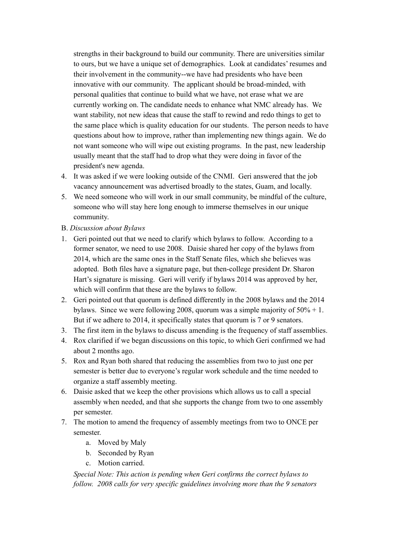strengths in their background to build our community. There are universities similar to ours, but we have a unique set of demographics. Look at candidates' resumes and their involvement in the community--we have had presidents who have been innovative with our community. The applicant should be broad-minded, with personal qualities that continue to build what we have, not erase what we are currently working on. The candidate needs to enhance what NMC already has. We want stability, not new ideas that cause the staff to rewind and redo things to get to the same place which is quality education for our students. The person needs to have questions about how to improve, rather than implementing new things again. We do not want someone who will wipe out existing programs. In the past, new leadership usually meant that the staff had to drop what they were doing in favor of the president's new agenda.

- 4. It was asked if we were looking outside of the CNMI. Geri answered that the job vacancy announcement was advertised broadly to the states, Guam, and locally.
- 5. We need someone who will work in our small community, be mindful of the culture, someone who will stay here long enough to immerse themselves in our unique community.
- B. *Discussion about Bylaws*
- 1. Geri pointed out that we need to clarify which bylaws to follow. According to a former senator, we need to use 2008. Daisie shared her copy of the bylaws from 2014, which are the same ones in the Staff Senate files, which she believes was adopted. Both files have a signature page, but then-college president Dr. Sharon Hart's signature is missing. Geri will verify if bylaws 2014 was approved by her, which will confirm that these are the bylaws to follow.
- 2. Geri pointed out that quorum is defined differently in the 2008 bylaws and the 2014 bylaws. Since we were following 2008, quorum was a simple majority of  $50\% + 1$ . But if we adhere to 2014, it specifically states that quorum is 7 or 9 senators.
- 3. The first item in the bylaws to discuss amending is the frequency of staff assemblies.
- 4. Rox clarified if we began discussions on this topic, to which Geri confirmed we had about 2 months ago.
- 5. Rox and Ryan both shared that reducing the assemblies from two to just one per semester is better due to everyone's regular work schedule and the time needed to organize a staff assembly meeting.
- 6. Daisie asked that we keep the other provisions which allows us to call a special assembly when needed, and that she supports the change from two to one assembly per semester.
- 7. The motion to amend the frequency of assembly meetings from two to ONCE per semester.
	- a. Moved by Maly
	- b. Seconded by Ryan
	- c. Motion carried.

*Special Note: This action is pending when Geri confirms the correct bylaws to follow. 2008 calls for very specific guidelines involving more than the 9 senators*